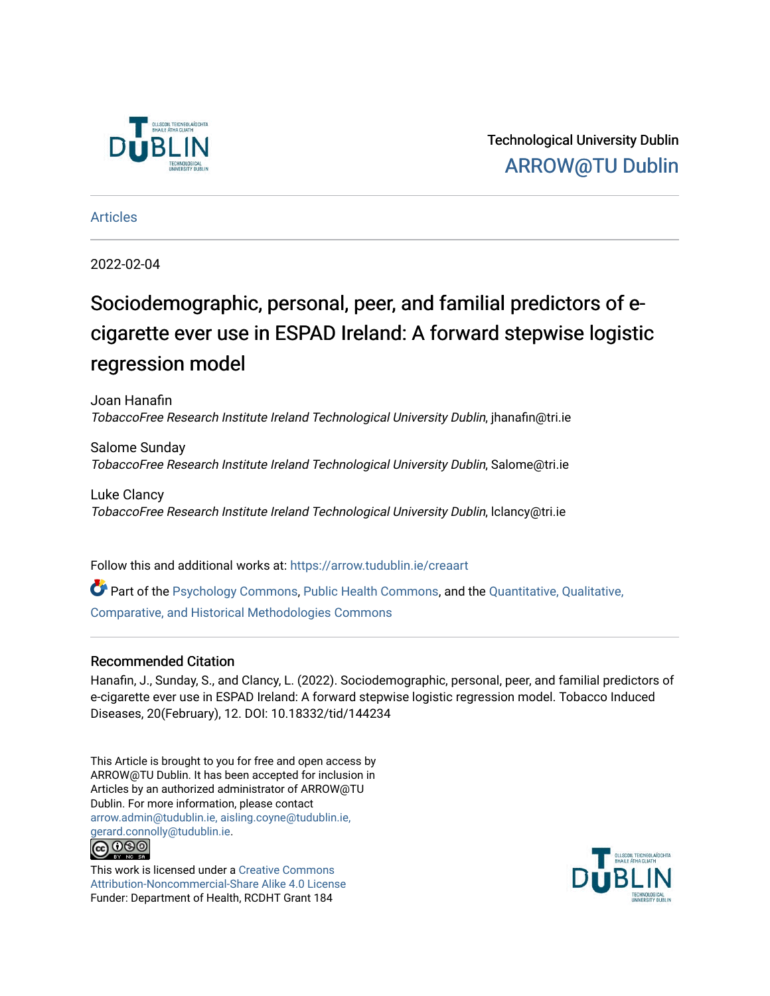

Technological University Dublin [ARROW@TU Dublin](https://arrow.tudublin.ie/) 

[Articles](https://arrow.tudublin.ie/creaart)

2022-02-04

# Sociodemographic, personal, peer, and familial predictors of ecigarette ever use in ESPAD Ireland: A forward stepwise logistic regression model

Joan Hanafin TobaccoFree Research Institute Ireland Technological University Dublin, jhanafin@tri.ie

Salome Sunday TobaccoFree Research Institute Ireland Technological University Dublin, Salome@tri.ie

Luke Clancy TobaccoFree Research Institute Ireland Technological University Dublin, lclancy@tri.ie

Follow this and additional works at: [https://arrow.tudublin.ie/creaart](https://arrow.tudublin.ie/creaart?utm_source=arrow.tudublin.ie%2Fcreaart%2F49&utm_medium=PDF&utm_campaign=PDFCoverPages) 

Part of the [Psychology Commons,](http://network.bepress.com/hgg/discipline/404?utm_source=arrow.tudublin.ie%2Fcreaart%2F49&utm_medium=PDF&utm_campaign=PDFCoverPages) [Public Health Commons,](http://network.bepress.com/hgg/discipline/738?utm_source=arrow.tudublin.ie%2Fcreaart%2F49&utm_medium=PDF&utm_campaign=PDFCoverPages) and the [Quantitative, Qualitative,](http://network.bepress.com/hgg/discipline/423?utm_source=arrow.tudublin.ie%2Fcreaart%2F49&utm_medium=PDF&utm_campaign=PDFCoverPages) [Comparative, and Historical Methodologies Commons](http://network.bepress.com/hgg/discipline/423?utm_source=arrow.tudublin.ie%2Fcreaart%2F49&utm_medium=PDF&utm_campaign=PDFCoverPages) 

# Recommended Citation

Hanafin, J., Sunday, S., and Clancy, L. (2022). Sociodemographic, personal, peer, and familial predictors of e-cigarette ever use in ESPAD Ireland: A forward stepwise logistic regression model. Tobacco Induced Diseases, 20(February), 12. DOI: 10.18332/tid/144234

This Article is brought to you for free and open access by ARROW@TU Dublin. It has been accepted for inclusion in Articles by an authorized administrator of ARROW@TU Dublin. For more information, please contact [arrow.admin@tudublin.ie, aisling.coyne@tudublin.ie,](mailto:arrow.admin@tudublin.ie,%20aisling.coyne@tudublin.ie,%20gerard.connolly@tudublin.ie)  [gerard.connolly@tudublin.ie](mailto:arrow.admin@tudublin.ie,%20aisling.coyne@tudublin.ie,%20gerard.connolly@tudublin.ie). **@** 00

This work is licensed under a [Creative Commons](http://creativecommons.org/licenses/by-nc-sa/4.0/) [Attribution-Noncommercial-Share Alike 4.0 License](http://creativecommons.org/licenses/by-nc-sa/4.0/) Funder: Department of Health, RCDHT Grant 184

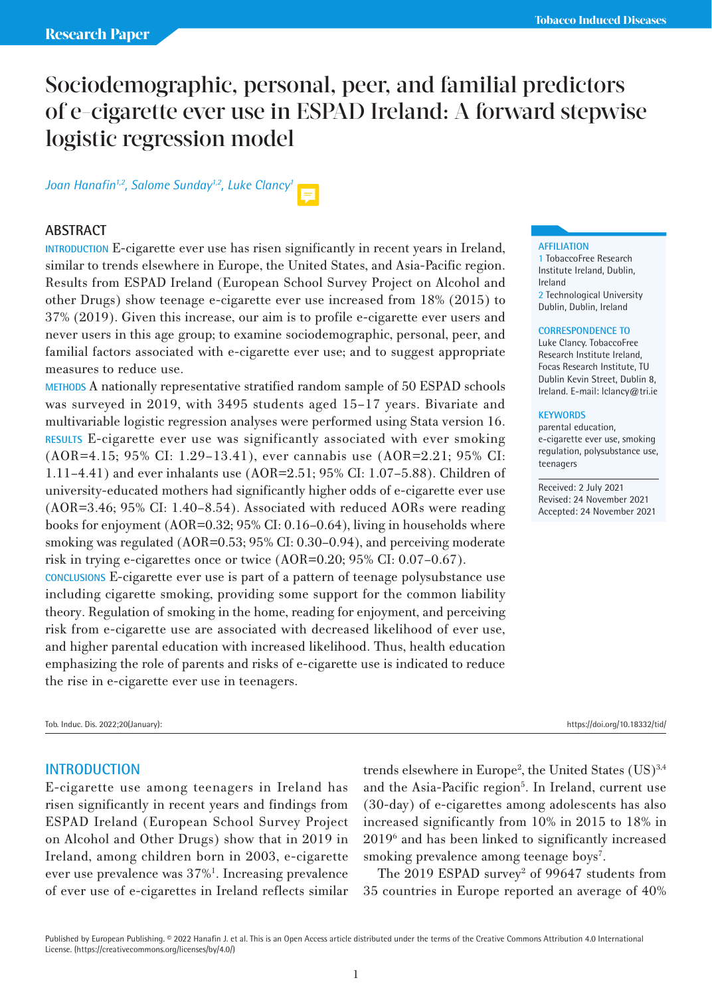# Sociodemographic, personal, peer, and familial predictors of e-cigarette ever use in ESPAD Ireland: A forward stepwise logistic regression model

*Joan Hanafin1,2, Salome Sunday1,2, Luke Clancy1*

## **ABSTRACT**

**INTRODUCTION** E-cigarette ever use has risen significantly in recent years in Ireland, similar to trends elsewhere in Europe, the United States, and Asia-Pacific region. Results from ESPAD Ireland (European School Survey Project on Alcohol and other Drugs) show teenage e-cigarette ever use increased from 18% (2015) to 37% (2019). Given this increase, our aim is to profile e-cigarette ever users and never users in this age group; to examine sociodemographic, personal, peer, and familial factors associated with e-cigarette ever use; and to suggest appropriate measures to reduce use.

**METHODS** A nationally representative stratified random sample of 50 ESPAD schools was surveyed in 2019, with 3495 students aged 15–17 years. Bivariate and multivariable logistic regression analyses were performed using Stata version 16. **RESULTS** E-cigarette ever use was significantly associated with ever smoking (AOR=4.15; 95% CI: 1.29–13.41), ever cannabis use (AOR=2.21; 95% CI: 1.11–4.41) and ever inhalants use (AOR=2.51; 95% CI: 1.07–5.88). Children of university-educated mothers had significantly higher odds of e-cigarette ever use (AOR=3.46; 95% CI: 1.40–8.54). Associated with reduced AORs were reading books for enjoyment (AOR=0.32; 95% CI: 0.16–0.64), living in households where smoking was regulated (AOR=0.53; 95% CI: 0.30–0.94), and perceiving moderate risk in trying e-cigarettes once or twice (AOR=0.20; 95% CI: 0.07–0.67). **CONCLUSIONS** E-cigarette ever use is part of a pattern of teenage polysubstance use including cigarette smoking, providing some support for the common liability theory. Regulation of smoking in the home, reading for enjoyment, and perceiving risk from e-cigarette use are associated with decreased likelihood of ever use, and higher parental education with increased likelihood. Thus, health education

emphasizing the role of parents and risks of e-cigarette use is indicated to reduce

## **INTRODUCTION**

E-cigarette use among teenagers in Ireland has risen significantly in recent years and findings from ESPAD Ireland (European School Survey Project on Alcohol and Other Drugs) show that in 2019 in Ireland, among children born in 2003, e-cigarette ever use prevalence was  $37\%$ <sup>1</sup>. Increasing prevalence of ever use of e-cigarettes in Ireland reflects similar

the rise in e-cigarette ever use in teenagers.

trends elsewhere in Europe<sup>2</sup>, the United States (US)<sup>3,4</sup> and the Asia-Pacific region<sup>5</sup>. In Ireland, current use (30-day) of e-cigarettes among adolescents has also increased significantly from 10% in 2015 to 18% in 20196 and has been linked to significantly increased smoking prevalence among teenage boys<sup>7</sup>.

The 2019 ESPAD survey<sup>2</sup> of 99647 students from 35 countries in Europe reported an average of 40%

#### **AFFILIATION**

1 TobaccoFree Research Institute Ireland, Dublin, Ireland 2 Technological University Dublin, Dublin, Ireland

#### **CORRESPONDENCE TO**

Luke Clancy. TobaccoFree Research Institute Ireland, Focas Research Institute, TU Dublin Kevin Street, Dublin 8, Ireland. E-mail: lclancy@tri.ie

#### **KEYWORDS**

parental education, e-cigarette ever use, smoking regulation, polysubstance use, teenagers

Received: 2 July 2021 Revised: 24 November 2021 Accepted: 24 November 2021

Tob. Induc. Dis. 2022;20(January): https://doi.org/10.18332/tid/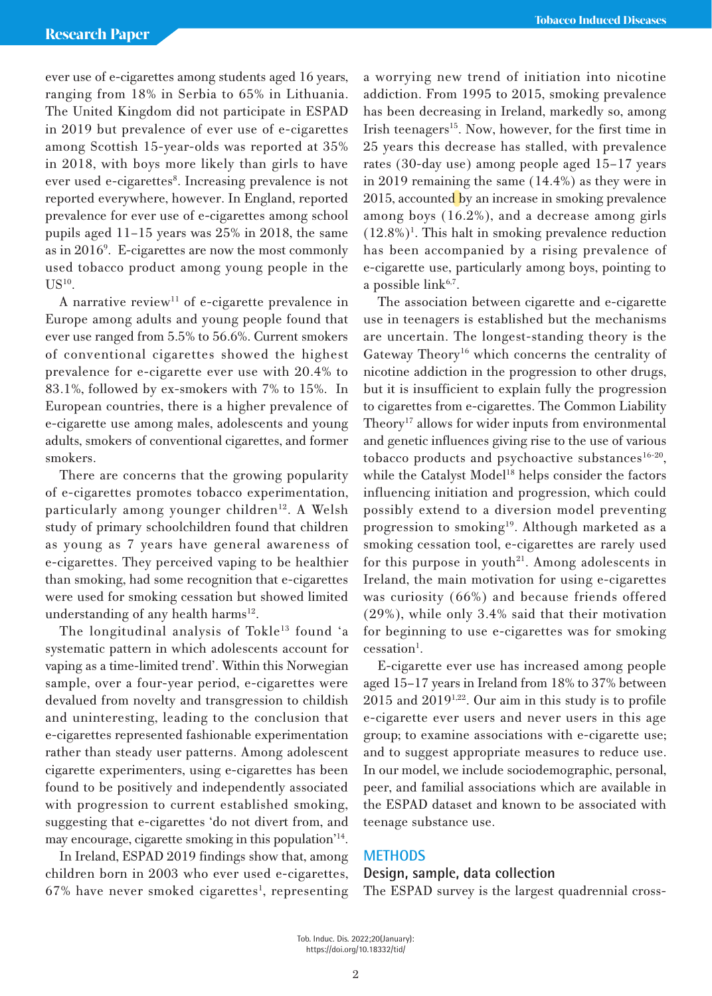ever use of e-cigarettes among students aged 16 years, ranging from 18% in Serbia to 65% in Lithuania. The United Kingdom did not participate in ESPAD in 2019 but prevalence of ever use of e-cigarettes among Scottish 15-year-olds was reported at 35% in 2018, with boys more likely than girls to have ever used e-cigarettes<sup>8</sup>. Increasing prevalence is not reported everywhere, however. In England, reported prevalence for ever use of e-cigarettes among school pupils aged 11–15 years was 25% in 2018, the same as in 20169 . E-cigarettes are now the most commonly used tobacco product among young people in the  $\rm US^{10}$ .

A narrative review<sup>11</sup> of e-cigarette prevalence in Europe among adults and young people found that ever use ranged from 5.5% to 56.6%. Current smokers of conventional cigarettes showed the highest prevalence for e-cigarette ever use with 20.4% to 83.1%, followed by ex-smokers with 7% to 15%. In European countries, there is a higher prevalence of e-cigarette use among males, adolescents and young adults, smokers of conventional cigarettes, and former smokers.

There are concerns that the growing popularity of e-cigarettes promotes tobacco experimentation, particularly among younger children<sup>12</sup>. A Welsh study of primary schoolchildren found that children as young as 7 years have general awareness of e-cigarettes. They perceived vaping to be healthier than smoking, had some recognition that e-cigarettes were used for smoking cessation but showed limited understanding of any health harms<sup>12</sup>.

The longitudinal analysis of Tokle<sup>13</sup> found 'a systematic pattern in which adolescents account for vaping as a time-limited trend'. Within this Norwegian sample, over a four-year period, e-cigarettes were devalued from novelty and transgression to childish and uninteresting, leading to the conclusion that e-cigarettes represented fashionable experimentation rather than steady user patterns. Among adolescent cigarette experimenters, using e-cigarettes has been found to be positively and independently associated with progression to current established smoking, suggesting that e-cigarettes 'do not divert from, and may encourage, cigarette smoking in this population'14.

In Ireland, ESPAD 2019 findings show that, among children born in 2003 who ever used e-cigarettes, 67% have never smoked cigarettes<sup>1</sup>, representing a worrying new trend of initiation into nicotine addiction. From 1995 to 2015, smoking prevalence has been decreasing in Ireland, markedly so, among Irish teenagers<sup>15</sup>. Now, however, for the first time in 25 years this decrease has stalled, with prevalence rates (30-day use) among people aged 15–17 years in 2019 remaining the same (14.4%) as they were in 2015, accounted by an increase in smoking prevalence among boys (16.2%), and a decrease among girls  $(12.8\%)$ <sup>1</sup>. This halt in smoking prevalence reduction has been accompanied by a rising prevalence of e-cigarette use, particularly among boys, pointing to a possible link<sup>6,7</sup>.

The association between cigarette and e-cigarette use in teenagers is established but the mechanisms are uncertain. The longest-standing theory is the Gateway Theory16 which concerns the centrality of nicotine addiction in the progression to other drugs, but it is insufficient to explain fully the progression to cigarettes from e-cigarettes. The Common Liability Theory<sup>17</sup> allows for wider inputs from environmental and genetic influences giving rise to the use of various tobacco products and psychoactive substances<sup>16-20</sup>, while the Catalyst Model<sup>18</sup> helps consider the factors influencing initiation and progression, which could possibly extend to a diversion model preventing progression to smoking<sup>19</sup>. Although marketed as a smoking cessation tool, e-cigarettes are rarely used for this purpose in youth $2^1$ . Among adolescents in Ireland, the main motivation for using e-cigarettes was curiosity (66%) and because friends offered (29%), while only 3.4% said that their motivation for beginning to use e-cigarettes was for smoking cessation<sup>1</sup>.

E-cigarette ever use has increased among people aged 15–17 years in Ireland from 18% to 37% between  $2015$  and  $2019^{1,22}$ . Our aim in this study is to profile e-cigarette ever users and never users in this age group; to examine associations with e-cigarette use; and to suggest appropriate measures to reduce use. In our model, we include sociodemographic, personal, peer, and familial associations which are available in the ESPAD dataset and known to be associated with teenage substance use.

# **METHODS**

## **Design, sample, data collection**

The ESPAD survey is the largest quadrennial cross-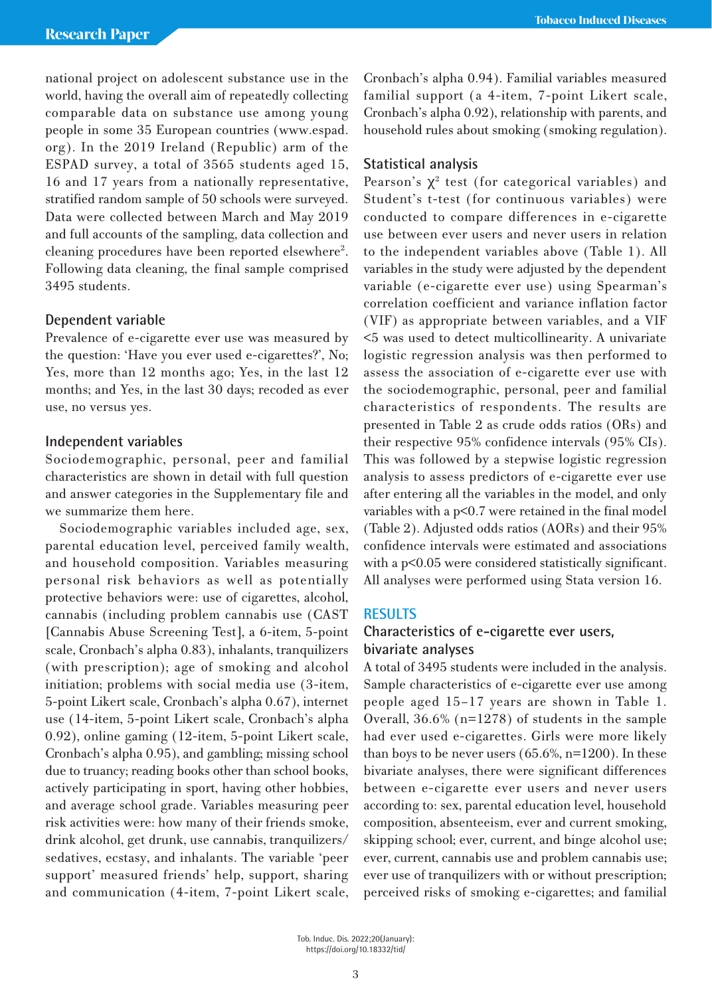national project on adolescent substance use in the world, having the overall aim of repeatedly collecting comparable data on substance use among young people in some 35 European countries (www.espad. org). In the 2019 Ireland (Republic) arm of the ESPAD survey, a total of 3565 students aged 15, 16 and 17 years from a nationally representative, stratified random sample of 50 schools were surveyed. Data were collected between March and May 2019 and full accounts of the sampling, data collection and cleaning procedures have been reported elsewhere<sup>2</sup>. Following data cleaning, the final sample comprised 3495 students.

# **Dependent variable**

Prevalence of e-cigarette ever use was measured by the question: 'Have you ever used e-cigarettes?', No; Yes, more than 12 months ago; Yes, in the last 12 months; and Yes, in the last 30 days; recoded as ever use, no versus yes.

## **Independent variables**

Sociodemographic, personal, peer and familial characteristics are shown in detail with full question and answer categories in the Supplementary file and we summarize them here.

Sociodemographic variables included age, sex, parental education level, perceived family wealth, and household composition. Variables measuring personal risk behaviors as well as potentially protective behaviors were: use of cigarettes, alcohol, cannabis (including problem cannabis use (CAST [Cannabis Abuse Screening Test], a 6-item, 5-point scale, Cronbach's alpha 0.83), inhalants, tranquilizers (with prescription); age of smoking and alcohol initiation; problems with social media use (3-item, 5-point Likert scale, Cronbach's alpha 0.67), internet use (14-item, 5-point Likert scale, Cronbach's alpha 0.92), online gaming (12-item, 5-point Likert scale, Cronbach's alpha 0.95), and gambling; missing school due to truancy; reading books other than school books, actively participating in sport, having other hobbies, and average school grade. Variables measuring peer risk activities were: how many of their friends smoke, drink alcohol, get drunk, use cannabis, tranquilizers/ sedatives, ecstasy, and inhalants. The variable 'peer support' measured friends' help, support, sharing and communication (4-item, 7-point Likert scale, Cronbach's alpha 0.94). Familial variables measured familial support (a 4-item, 7-point Likert scale, Cronbach's alpha 0.92), relationship with parents, and household rules about smoking (smoking regulation).

# **Statistical analysis**

Pearson's  $\chi^2$  test (for categorical variables) and Student's t-test (for continuous variables) were conducted to compare differences in e-cigarette use between ever users and never users in relation to the independent variables above (Table 1). All variables in the study were adjusted by the dependent variable (e-cigarette ever use) using Spearman's correlation coefficient and variance inflation factor (VIF) as appropriate between variables, and a VIF <5 was used to detect multicollinearity. A univariate logistic regression analysis was then performed to assess the association of e-cigarette ever use with the sociodemographic, personal, peer and familial characteristics of respondents. The results are presented in Table 2 as crude odds ratios (ORs) and their respective 95% confidence intervals (95% CIs). This was followed by a stepwise logistic regression analysis to assess predictors of e-cigarette ever use after entering all the variables in the model, and only variables with a p<0.7 were retained in the final model (Table 2). Adjusted odds ratios (AORs) and their 95% confidence intervals were estimated and associations with a  $p<0.05$  were considered statistically significant. All analyses were performed using Stata version 16.

# **RESULTS**

# **Characteristics of e-cigarette ever users, bivariate analyses**

A total of 3495 students were included in the analysis. Sample characteristics of e-cigarette ever use among people aged 15–17 years are shown in Table 1. Overall, 36.6% (n=1278) of students in the sample had ever used e-cigarettes. Girls were more likely than boys to be never users  $(65.6\%, n=1200)$ . In these bivariate analyses, there were significant differences between e-cigarette ever users and never users according to: sex, parental education level, household composition, absenteeism, ever and current smoking, skipping school; ever, current, and binge alcohol use; ever, current, cannabis use and problem cannabis use; ever use of tranquilizers with or without prescription; perceived risks of smoking e-cigarettes; and familial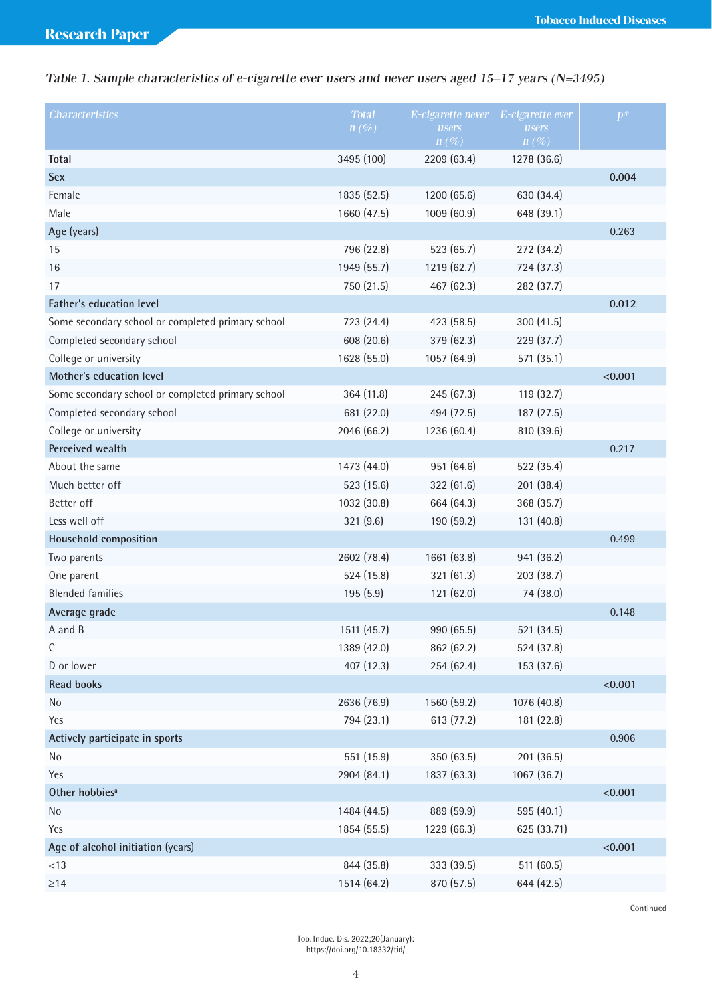# Table 1. Sample characteristics of e-cigarette ever users and never users aged 15–17 years (N=3495)

| <b>Characteristics</b>                            | <b>Total</b><br>$n(\%)$ | E-cigarette never<br><i>users</i><br>$n(\%)$ | E-cigarette ever<br><i>users</i><br>$n(\%)$ | $p^*$   |
|---------------------------------------------------|-------------------------|----------------------------------------------|---------------------------------------------|---------|
| Total                                             | 3495 (100)              | 2209(63.4)                                   | 1278 (36.6)                                 |         |
| Sex                                               |                         |                                              |                                             | 0.004   |
| Female                                            | 1835 (52.5)             | 1200 (65.6)                                  | 630 (34.4)                                  |         |
| Male                                              | 1660 (47.5)             | 1009(60.9)                                   | 648 (39.1)                                  |         |
| Age (years)                                       |                         |                                              |                                             | 0.263   |
| 15                                                | 796 (22.8)              | 523 (65.7)                                   | 272 (34.2)                                  |         |
| 16                                                | 1949 (55.7)             | 1219 (62.7)                                  | 724 (37.3)                                  |         |
| 17                                                | 750 (21.5)              | 467 (62.3)                                   | 282 (37.7)                                  |         |
| Father's education level                          |                         |                                              |                                             | 0.012   |
| Some secondary school or completed primary school | 723 (24.4)              | 423 (58.5)                                   | 300 (41.5)                                  |         |
| Completed secondary school                        | 608 (20.6)              | 379 (62.3)                                   | 229 (37.7)                                  |         |
| College or university                             | 1628 (55.0)             | 1057 (64.9)                                  | 571 (35.1)                                  |         |
| Mother's education level                          |                         |                                              |                                             | < 0.001 |
| Some secondary school or completed primary school | 364 (11.8)              | 245 (67.3)                                   | 119 (32.7)                                  |         |
| Completed secondary school                        | 681 (22.0)              | 494 (72.5)                                   | 187 (27.5)                                  |         |
| College or university                             | 2046 (66.2)             | 1236 (60.4)                                  | 810 (39.6)                                  |         |
| Perceived wealth                                  |                         |                                              |                                             | 0.217   |
| About the same                                    | 1473 (44.0)             | 951 (64.6)                                   | 522 (35.4)                                  |         |
| Much better off                                   | 523 (15.6)              | 322 (61.6)                                   | 201 (38.4)                                  |         |
| Better off                                        | 1032 (30.8)             | 664 (64.3)                                   | 368 (35.7)                                  |         |
| Less well off                                     | 321(9.6)                | 190(59.2)                                    | 131 (40.8)                                  |         |
| Household composition                             |                         |                                              |                                             | 0.499   |
| Two parents                                       | 2602 (78.4)             | 1661 (63.8)                                  | 941 (36.2)                                  |         |
| One parent                                        | 524 (15.8)              | 321 (61.3)                                   | 203 (38.7)                                  |         |
| <b>Blended families</b>                           | 195 (5.9)               | 121 (62.0)                                   | 74 (38.0)                                   |         |
| Average grade                                     |                         |                                              |                                             | 0.148   |
| A and B                                           | 1511 (45.7)             | 990 (65.5)                                   | 521 (34.5)                                  |         |
| C                                                 | 1389 (42.0)             | 862 (62.2)                                   | 524 (37.8)                                  |         |
| D or lower                                        | 407 (12.3)              | 254 (62.4)                                   | 153 (37.6)                                  |         |
| <b>Read books</b>                                 |                         |                                              |                                             | < 0.001 |
| No                                                | 2636 (76.9)             | 1560 (59.2)                                  | 1076 (40.8)                                 |         |
| Yes                                               | 794 (23.1)              | 613 (77.2)                                   | 181 (22.8)                                  |         |
| Actively participate in sports                    |                         |                                              |                                             | 0.906   |
| No                                                | 551 (15.9)              | 350 (63.5)                                   | 201 (36.5)                                  |         |
| Yes                                               | 2904 (84.1)             | 1837 (63.3)                                  | 1067 (36.7)                                 |         |
| Other hobbies <sup>a</sup>                        |                         |                                              |                                             | < 0.001 |
| No                                                | 1484 (44.5)             | 889 (59.9)                                   | 595 (40.1)                                  |         |
| Yes                                               | 1854 (55.5)             | 1229 (66.3)                                  | 625 (33.71)                                 |         |
| Age of alcohol initiation (years)                 |                         |                                              |                                             | < 0.001 |
| < 13                                              | 844 (35.8)              | 333 (39.5)                                   | 511 (60.5)                                  |         |
| ${\geq}14$                                        | 1514 (64.2)             | 870 (57.5)                                   | 644 (42.5)                                  |         |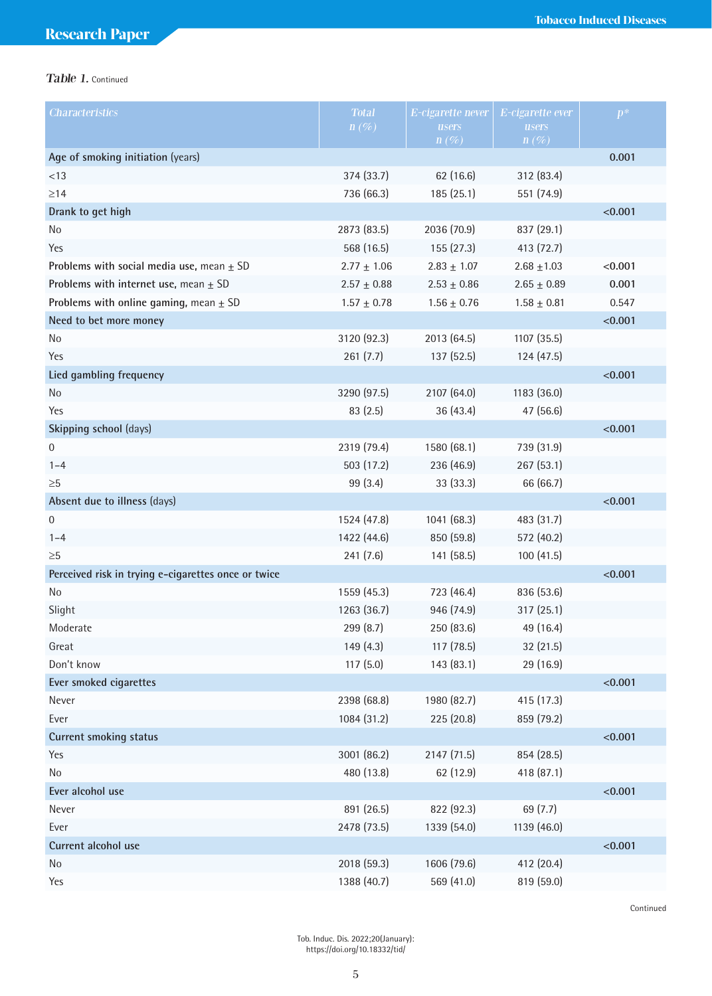# Table 1. Continued

| <b>Characteristics</b>                              | <b>Total</b>    | E-cigarette never       | E-cigarette ever        | $p^*$   |
|-----------------------------------------------------|-----------------|-------------------------|-------------------------|---------|
|                                                     | $n(\%)$         | <i>users</i><br>$n(\%)$ | <i>users</i><br>$n(\%)$ |         |
| Age of smoking initiation (years)                   |                 |                         |                         | 0.001   |
| < 13                                                | 374 (33.7)      | 62 (16.6)               | 312 (83.4)              |         |
| $\geq$ 14                                           | 736 (66.3)      | 185 (25.1)              | 551 (74.9)              |         |
| Drank to get high                                   |                 |                         |                         | < 0.001 |
| No                                                  | 2873 (83.5)     | 2036 (70.9)             | 837 (29.1)              |         |
| Yes                                                 | 568 (16.5)      | 155 (27.3)              | 413 (72.7)              |         |
| Problems with social media use, mean $\pm$ SD       | $2.77 \pm 1.06$ | $2.83 \pm 1.07$         | $2.68 \pm 1.03$         | < 0.001 |
| Problems with internet use, mean $\pm$ SD           | $2.57 \pm 0.88$ | $2.53\pm0.86$           | $2.65 \pm 0.89$         | 0.001   |
| Problems with online gaming, mean $\pm$ SD          | $1.57 \pm 0.78$ | $1.56 \pm 0.76$         | $1.58\pm0.81$           | 0.547   |
| Need to bet more money                              |                 |                         |                         | < 0.001 |
| No                                                  | 3120 (92.3)     | 2013 (64.5)             | 1107 (35.5)             |         |
| Yes                                                 | 261(7.7)        | 137 (52.5)              | 124 (47.5)              |         |
| Lied gambling frequency                             |                 |                         |                         | < 0.001 |
| <b>No</b>                                           | 3290 (97.5)     | 2107 (64.0)             | 1183 (36.0)             |         |
| Yes                                                 | 83(2.5)         | 36 (43.4)               | 47 (56.6)               |         |
| Skipping school (days)                              |                 |                         |                         | < 0.001 |
| 0                                                   | 2319 (79.4)     | 1580 (68.1)             | 739 (31.9)              |         |
| $1 - 4$                                             | 503 (17.2)      | 236 (46.9)              | 267 (53.1)              |         |
| $\geq 5$                                            | 99 (3.4)        | 33 (33.3)               | 66 (66.7)               |         |
| Absent due to illness (days)                        |                 |                         |                         | < 0.001 |
| $\mathbf 0$                                         | 1524 (47.8)     | 1041 (68.3)             | 483 (31.7)              |         |
| $1 - 4$                                             | 1422 (44.6)     | 850 (59.8)              | 572 (40.2)              |         |
| $\geq 5$                                            | 241 (7.6)       | 141 (58.5)              | 100(41.5)               |         |
| Perceived risk in trying e-cigarettes once or twice |                 |                         |                         | < 0.001 |
| No                                                  | 1559 (45.3)     | 723 (46.4)              | 836 (53.6)              |         |
| Slight                                              | 1263(36.7)      | 946 (74.9)              | 317(25.1)               |         |
| Moderate                                            | 299(8.7)        | 250 (83.6)              | 49 (16.4)               |         |
| Great                                               | 149 (4.3)       | 117(78.5)               | 32 (21.5)               |         |
| Don't know                                          | 117(5.0)        | 143 (83.1)              | 29 (16.9)               |         |
| Ever smoked cigarettes                              |                 |                         |                         | < 0.001 |
| Never                                               | 2398 (68.8)     | 1980 (82.7)             | 415 (17.3)              |         |
| Ever                                                | 1084 (31.2)     | 225 (20.8)              | 859 (79.2)              |         |
| <b>Current smoking status</b>                       |                 |                         |                         | < 0.001 |
| Yes                                                 | 3001 (86.2)     | 2147 (71.5)             | 854 (28.5)              |         |
| No                                                  | 480 (13.8)      | 62 (12.9)               | 418 (87.1)              |         |
| Ever alcohol use                                    |                 |                         |                         | < 0.001 |
| Never                                               | 891 (26.5)      | 822 (92.3)              | 69 (7.7)                |         |
| Ever                                                | 2478 (73.5)     | 1339 (54.0)             | 1139 (46.0)             |         |
| Current alcohol use                                 |                 |                         |                         | < 0.001 |
| No                                                  | 2018 (59.3)     | 1606 (79.6)             | 412 (20.4)              |         |
| Yes                                                 | 1388 (40.7)     | 569 (41.0)              | 819 (59.0)              |         |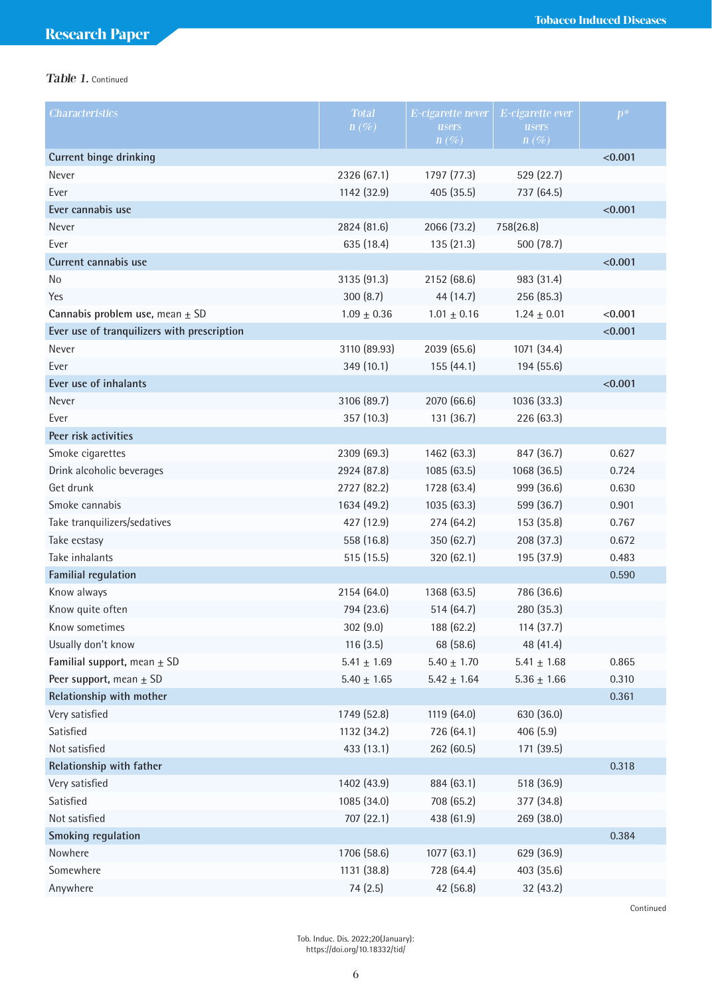# Table 1. Continued

| <b>Characteristics</b>                               | <b>Total</b>    | E-cigarette never       | E-cigarette ever        | $p^*$   |
|------------------------------------------------------|-----------------|-------------------------|-------------------------|---------|
|                                                      | $n(\%)$         | <i>users</i><br>$n(\%)$ | <i>users</i><br>$n(\%)$ |         |
| Current binge drinking                               |                 |                         |                         | < 0.001 |
| Never                                                | 2326 (67.1)     | 1797 (77.3)             | 529 (22.7)              |         |
| Ever                                                 | 1142 (32.9)     | 405 (35.5)              | 737 (64.5)              |         |
| Ever cannabis use                                    |                 |                         |                         | < 0.001 |
| Never                                                | 2824 (81.6)     | 2066 (73.2)             | 758(26.8)               |         |
| Ever                                                 | 635 (18.4)      | 135(21.3)               | 500 (78.7)              |         |
| Current cannabis use                                 |                 |                         |                         | < 0.001 |
| No                                                   | 3135 (91.3)     | 2152 (68.6)             | 983 (31.4)              |         |
| Yes                                                  | 300(8.7)        | 44 (14.7)               | 256 (85.3)              |         |
| Cannabis problem use, mean $\pm$ SD                  | $1.09 \pm 0.36$ | $1.01 \pm 0.16$         |                         | < 0.001 |
|                                                      |                 |                         | $1.24 \pm 0.01$         |         |
| Ever use of tranquilizers with prescription<br>Never | 3110 (89.93)    | 2039 (65.6)             | 1071 (34.4)             | < 0.001 |
| Ever                                                 | 349 (10.1)      | 155 (44.1)              | 194 (55.6)              |         |
| Ever use of inhalants                                |                 |                         |                         | < 0.001 |
| Never                                                | 3106 (89.7)     | 2070 (66.6)             | 1036 (33.3)             |         |
| Ever                                                 | 357(10.3)       | 131 (36.7)              | 226 (63.3)              |         |
| Peer risk activities                                 |                 |                         |                         |         |
| Smoke cigarettes                                     | 2309 (69.3)     | 1462 (63.3)             | 847 (36.7)              | 0.627   |
| Drink alcoholic beverages                            | 2924 (87.8)     | 1085 (63.5)             | 1068 (36.5)             | 0.724   |
| Get drunk                                            |                 | 1728 (63.4)             |                         | 0.630   |
| Smoke cannabis                                       | 2727 (82.2)     |                         | 999 (36.6)              | 0.901   |
|                                                      | 1634 (49.2)     | 1035(63.3)              | 599 (36.7)              |         |
| Take tranquilizers/sedatives                         | 427 (12.9)      | 274 (64.2)              | 153 (35.8)              | 0.767   |
| Take ecstasy                                         | 558 (16.8)      | 350 (62.7)              | 208 (37.3)              | 0.672   |
| Take inhalants                                       | 515(15.5)       | 320 (62.1)              | 195 (37.9)              | 0.483   |
| <b>Familial regulation</b>                           |                 |                         |                         | 0.590   |
| Know always                                          | 2154 (64.0)     | 1368 (63.5)             | 786 (36.6)              |         |
| Know quite often<br>Know sometimes                   | 794 (23.6)      | 514 (64.7)              | 280 (35.3)              |         |
|                                                      | 302 (9.0)       | 188 (62.2)              | 114(37.7)               |         |
| Usually don't know                                   | 116(3.5)        | 68 (58.6)               | 48 (41.4)               |         |
| Familial support, mean $\pm$ SD                      | $5.41 \pm 1.69$ | $5.40 \pm 1.70$         | 5.41 $\pm$ 1.68         | 0.865   |
| Peer support, mean $\pm$ SD                          | $5.40 \pm 1.65$ | $5.42 \pm 1.64$         | $5.36 \pm 1.66$         | 0.310   |
| Relationship with mother                             |                 |                         |                         | 0.361   |
| Very satisfied                                       | 1749 (52.8)     | 1119 (64.0)             | 630 (36.0)              |         |
| Satisfied                                            | 1132 (34.2)     | 726 (64.1)              | 406 (5.9)               |         |
| Not satisfied                                        | 433 (13.1)      | 262 (60.5)              | 171 (39.5)              |         |
| Relationship with father                             |                 |                         |                         | 0.318   |
| Very satisfied                                       | 1402 (43.9)     | 884 (63.1)              | 518 (36.9)              |         |
| Satisfied                                            | 1085 (34.0)     | 708 (65.2)              | 377 (34.8)              |         |
| Not satisfied                                        | 707 (22.1)      | 438 (61.9)              | 269 (38.0)              |         |
| Smoking regulation                                   |                 |                         |                         | 0.384   |
| Nowhere                                              | 1706 (58.6)     | 1077 (63.1)             | 629 (36.9)              |         |
| Somewhere                                            | 1131 (38.8)     | 728 (64.4)              | 403 (35.6)              |         |
| Anywhere                                             | 74 (2.5)        | 42 (56.8)               | 32 (43.2)               |         |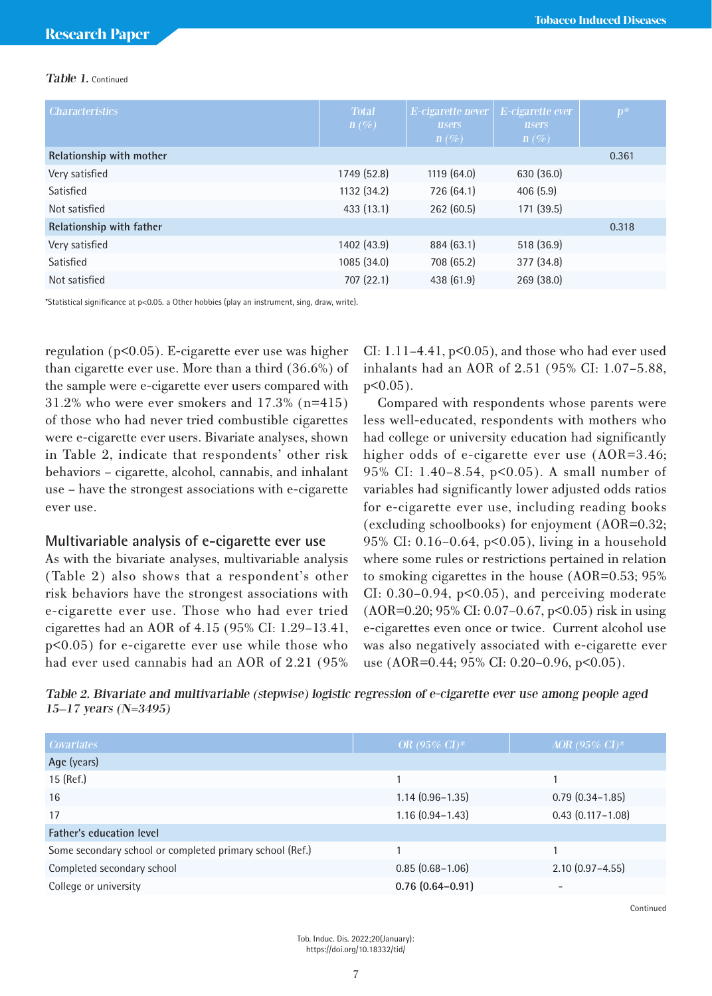## Table 1. Continued

| <b>Characteristics</b>   | <b>Total</b><br>$n(\%)$ | E-cigarette never<br><i>users</i><br>$n(\%)$ | E-cigarette ever<br><i>users</i><br>$n(\%)$ | $p^*$ |
|--------------------------|-------------------------|----------------------------------------------|---------------------------------------------|-------|
| Relationship with mother |                         |                                              |                                             | 0.361 |
| Very satisfied           | 1749 (52.8)             | 1119 (64.0)                                  | 630 (36.0)                                  |       |
| Satisfied                | 1132(34.2)              | 726 (64.1)                                   | 406(5.9)                                    |       |
| Not satisfied            | 433(13.1)               | 262(60.5)                                    | 171 (39.5)                                  |       |
| Relationship with father |                         |                                              |                                             | 0.318 |
| Very satisfied           | 1402 (43.9)             | 884 (63.1)                                   | 518(36.9)                                   |       |
| Satisfied                | 1085(34.0)              | 708 (65.2)                                   | 377 (34.8)                                  |       |
| Not satisfied            | 707(22.1)               | 438(61.9)                                    | 269(38.0)                                   |       |

\*Statistical significance at p<0.05. a Other hobbies (play an instrument, sing, draw, write).

regulation (p<0.05). E-cigarette ever use was higher than cigarette ever use. More than a third (36.6%) of the sample were e-cigarette ever users compared with 31.2% who were ever smokers and 17.3% (n=415) of those who had never tried combustible cigarettes were e-cigarette ever users. Bivariate analyses, shown in Table 2, indicate that respondents' other risk behaviors – cigarette, alcohol, cannabis, and inhalant use – have the strongest associations with e-cigarette ever use.

## **Multivariable analysis of e-cigarette ever use**

As with the bivariate analyses, multivariable analysis (Table 2) also shows that a respondent's other risk behaviors have the strongest associations with e-cigarette ever use. Those who had ever tried cigarettes had an AOR of 4.15 (95% CI: 1.29–13.41, p<0.05) for e-cigarette ever use while those who had ever used cannabis had an AOR of 2.21 (95% CI:  $1.11-4.41$ ,  $p<0.05$ ), and those who had ever used inhalants had an AOR of 2.51 (95% CI: 1.07–5.88,  $p<0.05$ ).

Compared with respondents whose parents were less well-educated, respondents with mothers who had college or university education had significantly higher odds of e-cigarette ever use (AOR=3.46; 95% CI: 1.40–8.54, p<0.05). A small number of variables had significantly lower adjusted odds ratios for e-cigarette ever use, including reading books (excluding schoolbooks) for enjoyment (AOR=0.32; 95% CI: 0.16–0.64, p<0.05), living in a household where some rules or restrictions pertained in relation to smoking cigarettes in the house (AOR=0.53; 95% CI:  $0.30-0.94$ ,  $p<0.05$ ), and perceiving moderate (AOR=0.20; 95% CI: 0.07–0.67, p<0.05) risk in using e-cigarettes even once or twice. Current alcohol use was also negatively associated with e-cigarette ever use (AOR=0.44; 95% CI: 0.20-0.96, p<0.05).

| Table 2. Bivariate and multivariable (stepwise) logistic regression of e-cigarette ever use among people aged |  |  |  |
|---------------------------------------------------------------------------------------------------------------|--|--|--|
| 15–17 years (N=3495)                                                                                          |  |  |  |

| <b>Covariates</b>                                        | OR $(95\% \text{ CI})^*$ | AOR $(95\% \text{ CI})^*$ |
|----------------------------------------------------------|--------------------------|---------------------------|
| Age (years)                                              |                          |                           |
| 15 (Ref.)                                                |                          |                           |
| 16                                                       | $1.14(0.96 - 1.35)$      | $0.79(0.34 - 1.85)$       |
| 17                                                       | $1.16(0.94 - 1.43)$      | $0.43$ $(0.117 - 1.08)$   |
| <b>Father's education level</b>                          |                          |                           |
| Some secondary school or completed primary school (Ref.) |                          |                           |
| Completed secondary school                               | $0.85(0.68 - 1.06)$      | $2.10(0.97 - 4.55)$       |
| College or university                                    | $0.76(0.64 - 0.91)$      |                           |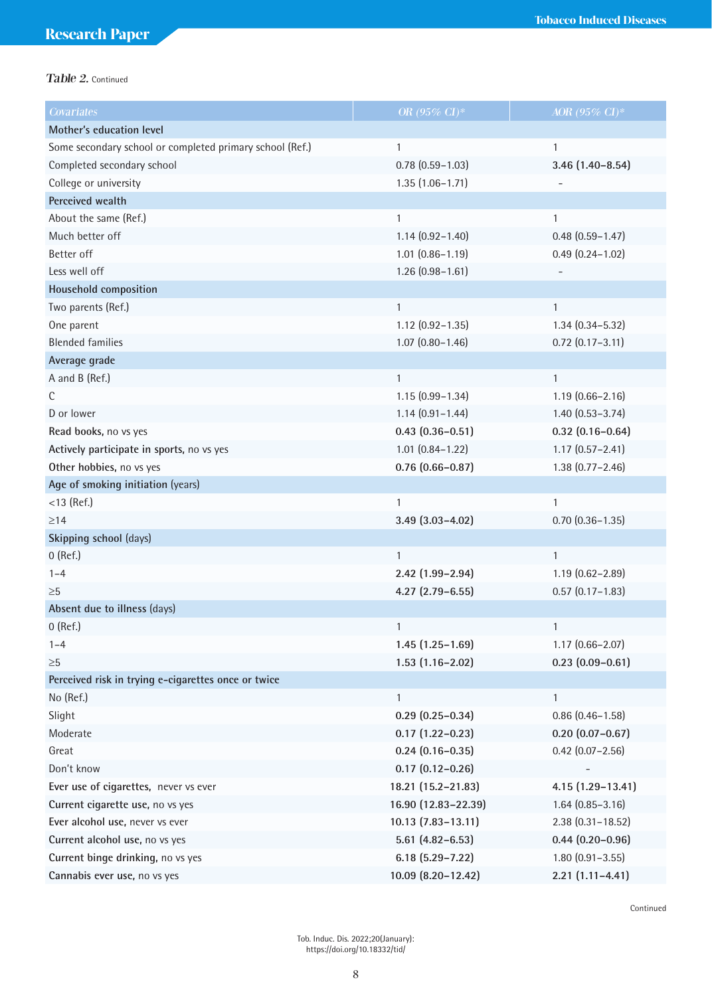# Table 2. Continued

| <i>Covariates</i>                                        | OR $(95\% \text{ CI})^*$ | AOR (95% CI)*           |
|----------------------------------------------------------|--------------------------|-------------------------|
| Mother's education level                                 |                          |                         |
| Some secondary school or completed primary school (Ref.) | 1                        | 1                       |
| Completed secondary school                               | $0.78$ $(0.59 - 1.03)$   | $3.46$ (1.40-8.54)      |
| College or university                                    | $1.35(1.06 - 1.71)$      |                         |
| Perceived wealth                                         |                          |                         |
| About the same (Ref.)                                    | $\mathbf{1}$             | 1                       |
| Much better off                                          | $1.14(0.92 - 1.40)$      | $0.48$ $(0.59 - 1.47)$  |
| Better off                                               | $1.01$ $(0.86 - 1.19)$   | $0.49(0.24 - 1.02)$     |
| Less well off                                            | $1.26(0.98 - 1.61)$      |                         |
| <b>Household composition</b>                             |                          |                         |
| Two parents (Ref.)                                       | $\mathbf{1}$             | $\mathbf{1}$            |
| One parent                                               | $1.12$ $(0.92 - 1.35)$   | $1.34(0.34 - 5.32)$     |
| <b>Blended families</b>                                  | $1.07$ $(0.80 - 1.46)$   | $0.72$ $(0.17 - 3.11)$  |
| Average grade                                            |                          |                         |
| A and B (Ref.)                                           | $\mathbf{1}$             | $\mathbf{1}$            |
| C                                                        | $1.15(0.99 - 1.34)$      | $1.19(0.66 - 2.16)$     |
| D or lower                                               | $1.14(0.91 - 1.44)$      | $1.40(0.53 - 3.74)$     |
| Read books, no vs yes                                    | $0.43(0.36 - 0.51)$      | $0.32$ (0.16-0.64)      |
| Actively participate in sports, no vs yes                | $1.01$ $(0.84 - 1.22)$   | $1.17(0.57 - 2.41)$     |
| Other hobbies, no vs yes                                 | $0.76(0.66 - 0.87)$      | $1.38(0.77 - 2.46)$     |
| Age of smoking initiation (years)                        |                          |                         |
| $<$ 13 (Ref.)                                            | $\mathbf{1}$             | $\mathbf{1}$            |
| $\geq$ 14                                                | $3.49$ $(3.03 - 4.02)$   | $0.70(0.36 - 1.35)$     |
| Skipping school (days)                                   |                          |                         |
| $0$ (Ref.)                                               | $\mathbf{1}$             | $\mathbf{1}$            |
| $1 - 4$                                                  | 2.42 (1.99-2.94)         | $1.19(0.62 - 2.89)$     |
| $\geq 5$                                                 | $4.27$ (2.79-6.55)       | $0.57$ $(0.17 - 1.83)$  |
| Absent due to illness (days)                             |                          |                         |
| $0$ (Ref.)                                               | $\mathbf{1}$             | $\mathbf{1}$            |
| $1 - 4$                                                  | $1.45(1.25 - 1.69)$      | $1.17(0.66 - 2.07)$     |
| ${\geq}5$                                                | $1.53(1.16 - 2.02)$      | $0.23(0.09 - 0.61)$     |
| Perceived risk in trying e-cigarettes once or twice      |                          |                         |
| No (Ref.)                                                | $\mathbf{1}$             | $\mathbf{1}$            |
| Slight                                                   | $0.29(0.25 - 0.34)$      | $0.86$ $(0.46 - 1.58)$  |
| Moderate                                                 | $0.17(1.22 - 0.23)$      | $0.20$ $(0.07 - 0.67)$  |
| Great                                                    | $0.24(0.16 - 0.35)$      | $0.42$ (0.07 – 2.56)    |
| Don't know                                               | $0.17(0.12 - 0.26)$      |                         |
| Ever use of cigarettes, never vs ever                    | 18.21 (15.2-21.83)       | 4.15 (1.29-13.41)       |
| Current cigarette use, no vs yes                         | 16.90 (12.83-22.39)      | $1.64(0.85 - 3.16)$     |
| Ever alcohol use, never vs ever                          | 10.13 (7.83-13.11)       | $2.38$ $(0.31 - 18.52)$ |
| Current alcohol use, no vs yes                           | $5.61(4.82 - 6.53)$      | $0.44$ $(0.20 - 0.96)$  |
| Current binge drinking, no vs yes                        | $6.18(5.29 - 7.22)$      | $1.80(0.91 - 3.55)$     |
| Cannabis ever use, no vs yes                             | 10.09 (8.20-12.42)       | $2.21(1.11-4.41)$       |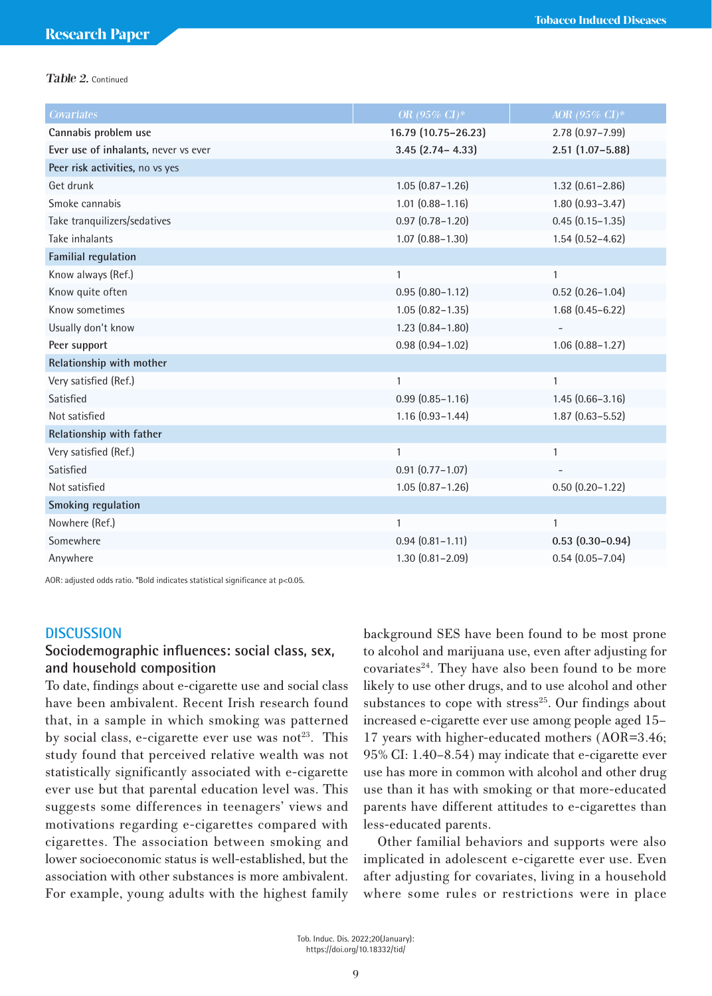### Table 2. Continued

| Covariates                           | OR (95% CI)*           | AOR (95% CI)*          |
|--------------------------------------|------------------------|------------------------|
| Cannabis problem use                 | 16.79 (10.75-26.23)    | $2.78(0.97 - 7.99)$    |
| Ever use of inhalants, never vs ever | $3.45$ (2.74 - 4.33)   | $2.51(1.07 - 5.88)$    |
| Peer risk activities, no vs yes      |                        |                        |
| Get drunk                            | $1.05(0.87 - 1.26)$    | $1.32$ $(0.61 - 2.86)$ |
| Smoke cannabis                       | $1.01$ $(0.88 - 1.16)$ | $1.80(0.93 - 3.47)$    |
| Take tranquilizers/sedatives         | $0.97(0.78 - 1.20)$    | $0.45(0.15 - 1.35)$    |
| Take inhalants                       | $1.07(0.88 - 1.30)$    | $1.54(0.52 - 4.62)$    |
| <b>Familial regulation</b>           |                        |                        |
| Know always (Ref.)                   | 1                      | $\mathbf{1}$           |
| Know quite often                     | $0.95(0.80 - 1.12)$    | $0.52$ $(0.26 - 1.04)$ |
| Know sometimes                       | $1.05(0.82 - 1.35)$    | $1.68(0.45 - 6.22)$    |
| Usually don't know                   | $1.23(0.84 - 1.80)$    |                        |
| Peer support                         | $0.98(0.94 - 1.02)$    | $1.06(0.88 - 1.27)$    |
| Relationship with mother             |                        |                        |
| Very satisfied (Ref.)                | $\mathbf{1}$           | $\mathbf{1}$           |
| Satisfied                            | $0.99$ $(0.85 - 1.16)$ | $1.45(0.66 - 3.16)$    |
| Not satisfied                        | $1.16(0.93 - 1.44)$    | $1.87(0.63 - 5.52)$    |
| Relationship with father             |                        |                        |
| Very satisfied (Ref.)                | 1                      | 1                      |
| Satisfied                            | $0.91(0.77 - 1.07)$    |                        |
| Not satisfied                        | $1.05(0.87 - 1.26)$    | $0.50$ $(0.20 - 1.22)$ |
| Smoking regulation                   |                        |                        |
| Nowhere (Ref.)                       | $\mathbf{1}$           | $\mathbf{1}$           |
| Somewhere                            | $0.94(0.81 - 1.11)$    | $0.53(0.30 - 0.94)$    |
| Anywhere                             | $1.30(0.81 - 2.09)$    | $0.54(0.05 - 7.04)$    |

AOR: adjusted odds ratio. \*Bold indicates statistical significance at p<0.05.

## **DISCUSSION**

# **Sociodemographic influences: social class, sex, and household composition**

To date, findings about e-cigarette use and social class have been ambivalent. Recent Irish research found that, in a sample in which smoking was patterned by social class, e-cigarette ever use was not<sup>23</sup>. This study found that perceived relative wealth was not statistically significantly associated with e-cigarette ever use but that parental education level was. This suggests some differences in teenagers' views and motivations regarding e-cigarettes compared with cigarettes. The association between smoking and lower socioeconomic status is well-established, but the association with other substances is more ambivalent. For example, young adults with the highest family

background SES have been found to be most prone to alcohol and marijuana use, even after adjusting for  $covariates<sup>24</sup>$ . They have also been found to be more likely to use other drugs, and to use alcohol and other substances to cope with  $stress<sup>25</sup>$ . Our findings about increased e-cigarette ever use among people aged 15– 17 years with higher-educated mothers (AOR=3.46; 95% CI: 1.40–8.54) may indicate that e-cigarette ever use has more in common with alcohol and other drug use than it has with smoking or that more-educated parents have different attitudes to e-cigarettes than less-educated parents.

Other familial behaviors and supports were also implicated in adolescent e-cigarette ever use. Even after adjusting for covariates, living in a household where some rules or restrictions were in place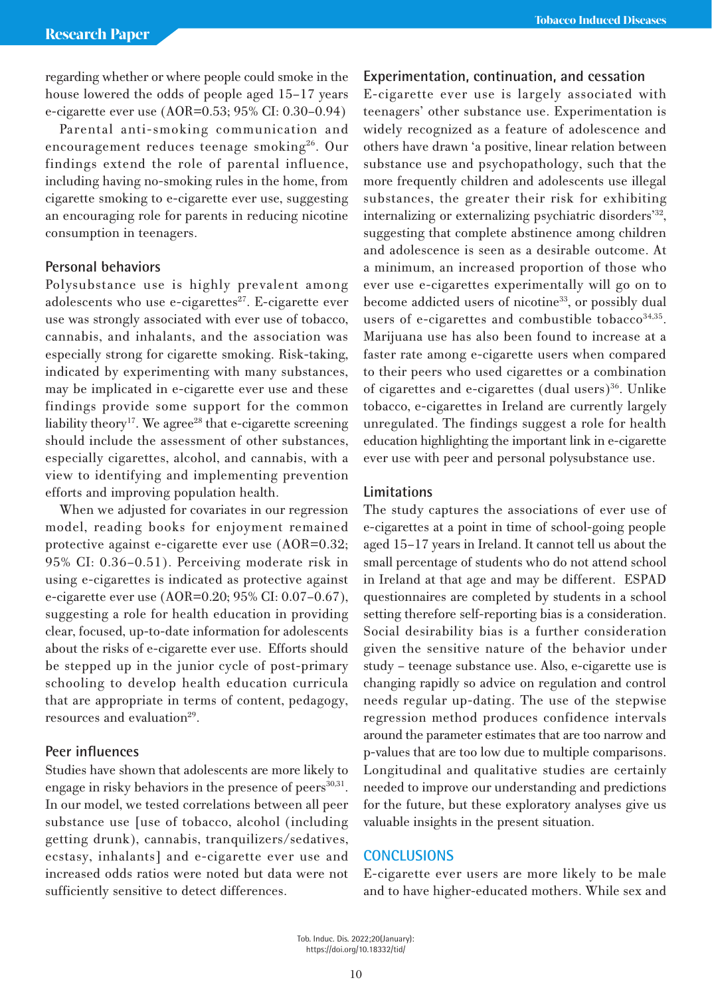regarding whether or where people could smoke in the house lowered the odds of people aged 15–17 years e-cigarette ever use (AOR=0.53; 95% CI: 0.30–0.94)

Parental anti-smoking communication and encouragement reduces teenage smoking<sup>26</sup>. Our findings extend the role of parental influence, including having no-smoking rules in the home, from cigarette smoking to e-cigarette ever use, suggesting an encouraging role for parents in reducing nicotine consumption in teenagers.

# **Personal behaviors**

Polysubstance use is highly prevalent among adolescents who use e-cigarettes $27$ . E-cigarette ever use was strongly associated with ever use of tobacco, cannabis, and inhalants, and the association was especially strong for cigarette smoking. Risk-taking, indicated by experimenting with many substances, may be implicated in e-cigarette ever use and these findings provide some support for the common liability theory<sup>17</sup>. We agree<sup>28</sup> that e-cigarette screening should include the assessment of other substances, especially cigarettes, alcohol, and cannabis, with a view to identifying and implementing prevention efforts and improving population health.

When we adjusted for covariates in our regression model, reading books for enjoyment remained protective against e-cigarette ever use (AOR=0.32; 95% CI: 0.36–0.51). Perceiving moderate risk in using e-cigarettes is indicated as protective against e-cigarette ever use (AOR=0.20; 95% CI: 0.07–0.67), suggesting a role for health education in providing clear, focused, up-to-date information for adolescents about the risks of e-cigarette ever use. Efforts should be stepped up in the junior cycle of post-primary schooling to develop health education curricula that are appropriate in terms of content, pedagogy, resources and evaluation<sup>29</sup>.

# **Peer influences**

Studies have shown that adolescents are more likely to engage in risky behaviors in the presence of peers $30,31$ . In our model, we tested correlations between all peer substance use [use of tobacco, alcohol (including getting drunk), cannabis, tranquilizers/sedatives, ecstasy, inhalants] and e-cigarette ever use and increased odds ratios were noted but data were not sufficiently sensitive to detect differences.

## **Experimentation, continuation, and cessation**

E-cigarette ever use is largely associated with teenagers' other substance use. Experimentation is widely recognized as a feature of adolescence and others have drawn 'a positive, linear relation between substance use and psychopathology, such that the more frequently children and adolescents use illegal substances, the greater their risk for exhibiting internalizing or externalizing psychiatric disorders'32, suggesting that complete abstinence among children and adolescence is seen as a desirable outcome. At a minimum, an increased proportion of those who ever use e-cigarettes experimentally will go on to become addicted users of nicotine<sup>33</sup>, or possibly dual users of e-cigarettes and combustible tobacco $34,35$ . Marijuana use has also been found to increase at a faster rate among e-cigarette users when compared to their peers who used cigarettes or a combination of cigarettes and e-cigarettes (dual users)<sup>36</sup>. Unlike tobacco, e-cigarettes in Ireland are currently largely unregulated. The findings suggest a role for health education highlighting the important link in e-cigarette ever use with peer and personal polysubstance use.

## **Limitations**

The study captures the associations of ever use of e-cigarettes at a point in time of school-going people aged 15–17 years in Ireland. It cannot tell us about the small percentage of students who do not attend school in Ireland at that age and may be different. ESPAD questionnaires are completed by students in a school setting therefore self-reporting bias is a consideration. Social desirability bias is a further consideration given the sensitive nature of the behavior under study – teenage substance use. Also, e-cigarette use is changing rapidly so advice on regulation and control needs regular up-dating. The use of the stepwise regression method produces confidence intervals around the parameter estimates that are too narrow and p-values that are too low due to multiple comparisons. Longitudinal and qualitative studies are certainly needed to improve our understanding and predictions for the future, but these exploratory analyses give us valuable insights in the present situation.

# **CONCLUSIONS**

E-cigarette ever users are more likely to be male and to have higher-educated mothers. While sex and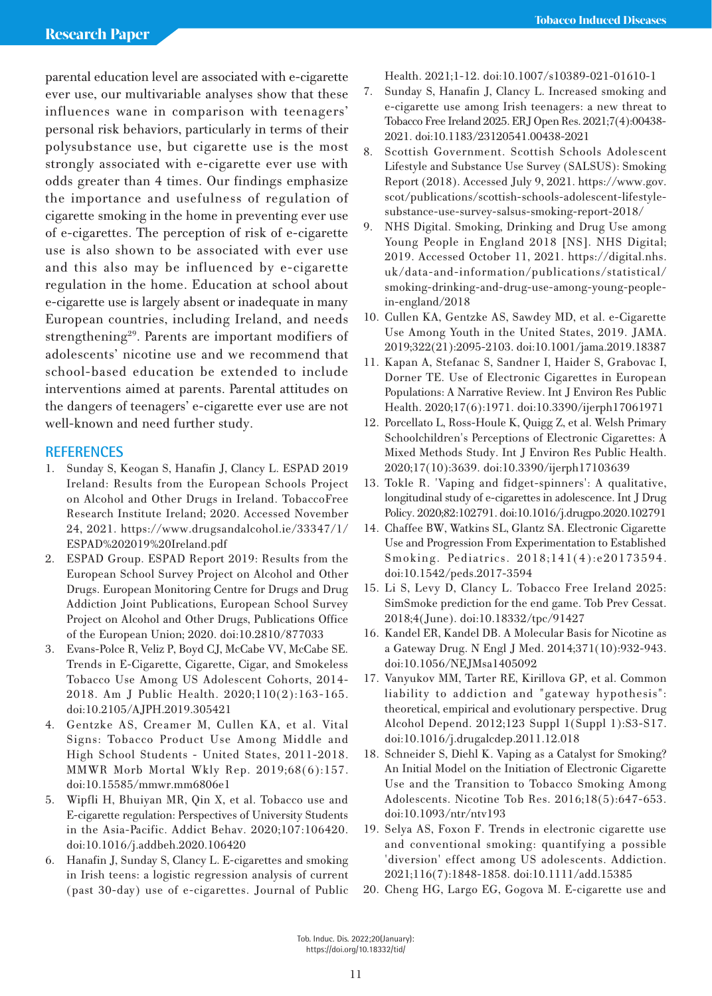parental education level are associated with e-cigarette ever use, our multivariable analyses show that these influences wane in comparison with teenagers' personal risk behaviors, particularly in terms of their polysubstance use, but cigarette use is the most strongly associated with e-cigarette ever use with odds greater than 4 times. Our findings emphasize the importance and usefulness of regulation of cigarette smoking in the home in preventing ever use of e-cigarettes. The perception of risk of e-cigarette use is also shown to be associated with ever use and this also may be influenced by e-cigarette regulation in the home. Education at school about e-cigarette use is largely absent or inadequate in many European countries, including Ireland, and needs strengthening<sup>29</sup>. Parents are important modifiers of adolescents' nicotine use and we recommend that school-based education be extended to include interventions aimed at parents. Parental attitudes on the dangers of teenagers' e-cigarette ever use are not well-known and need further study.

# **REFERENCES**

- 1. Sunday S, Keogan S, Hanafin J, Clancy L. ESPAD 2019 Ireland: Results from the European Schools Project on Alcohol and Other Drugs in Ireland. TobaccoFree Research Institute Ireland; 2020. Accessed November 24, 2021. https://www.drugsandalcohol.ie/33347/1/ ESPAD%202019%20Ireland.pdf
- 2. ESPAD Group. ESPAD Report 2019: Results from the European School Survey Project on Alcohol and Other Drugs. European Monitoring Centre for Drugs and Drug Addiction Joint Publications, European School Survey Project on Alcohol and Other Drugs, Publications Office of the European Union; 2020. doi:10.2810/877033
- 3. Evans-Polce R, Veliz P, Boyd CJ, McCabe VV, McCabe SE. Trends in E-Cigarette, Cigarette, Cigar, and Smokeless Tobacco Use Among US Adolescent Cohorts, 2014- 2018. Am J Public Health. 2020;110(2):163-165. doi:10.2105/AJPH.2019.305421
- 4. Gentzke AS, Creamer M, Cullen KA, et al. Vital Signs: Tobacco Product Use Among Middle and High School Students - United States, 2011-2018. MMWR Morb Mortal Wkly Rep. 2019;68(6):157. doi:10.15585/mmwr.mm6806e1
- 5. Wipfli H, Bhuiyan MR, Qin X, et al. Tobacco use and E-cigarette regulation: Perspectives of University Students in the Asia-Pacific. Addict Behav. 2020;107:106420. doi:10.1016/j.addbeh.2020.106420
- 6. Hanafin J, Sunday S, Clancy L. E-cigarettes and smoking in Irish teens: a logistic regression analysis of current (past 30-day) use of e-cigarettes. Journal of Public

Health. 2021;1-12. doi:10.1007/s10389-021-01610-1

- 7. Sunday S, Hanafin J, Clancy L. Increased smoking and e-cigarette use among Irish teenagers: a new threat to Tobacco Free Ireland 2025. ERJ Open Res. 2021;7(4):00438- 2021. doi:10.1183/23120541.00438-2021
- 8. Scottish Government. Scottish Schools Adolescent Lifestyle and Substance Use Survey (SALSUS): Smoking Report (2018). Accessed July 9, 2021. https://www.gov. scot/publications/scottish-schools-adolescent-lifestylesubstance-use-survey-salsus-smoking-report-2018/
- 9. NHS Digital. Smoking, Drinking and Drug Use among Young People in England 2018 [NS]. NHS Digital; 2019. Accessed October 11, 2021. https://digital.nhs. uk/data-and-information/publications/statistical/ smoking-drinking-and-drug-use-among-young-peoplein-england/2018
- 10. Cullen KA, Gentzke AS, Sawdey MD, et al. e-Cigarette Use Among Youth in the United States, 2019. JAMA. 2019;322(21):2095-2103. doi:10.1001/jama.2019.18387
- 11. Kapan A, Stefanac S, Sandner I, Haider S, Grabovac I, Dorner TE. Use of Electronic Cigarettes in European Populations: A Narrative Review. Int J Environ Res Public Health. 2020;17(6):1971. doi:10.3390/ijerph17061971
- 12. Porcellato L, Ross-Houle K, Quigg Z, et al. Welsh Primary Schoolchildren's Perceptions of Electronic Cigarettes: A Mixed Methods Study. Int J Environ Res Public Health. 2020;17(10):3639. doi:10.3390/ijerph17103639
- 13. Tokle R. 'Vaping and fidget-spinners': A qualitative, longitudinal study of e-cigarettes in adolescence. Int J Drug Policy. 2020;82:102791. doi:10.1016/j.drugpo.2020.102791
- 14. Chaffee BW, Watkins SL, Glantz SA. Electronic Cigarette Use and Progression From Experimentation to Established Smoking. Pediatrics. 2018;141(4):e20173594. doi:10.1542/peds.2017-3594
- 15. Li S, Levy D, Clancy L. Tobacco Free Ireland 2025: SimSmoke prediction for the end game. Tob Prev Cessat. 2018;4(June). doi:10.18332/tpc/91427
- 16. Kandel ER, Kandel DB. A Molecular Basis for Nicotine as a Gateway Drug. N Engl J Med. 2014;371(10):932-943. doi:10.1056/NEJMsa1405092
- 17. Vanyukov MM, Tarter RE, Kirillova GP, et al. Common liability to addiction and "gateway hypothesis": theoretical, empirical and evolutionary perspective. Drug Alcohol Depend. 2012;123 Suppl 1(Suppl 1):S3-S17. doi:10.1016/j.drugalcdep.2011.12.018
- 18. Schneider S, Diehl K. Vaping as a Catalyst for Smoking? An Initial Model on the Initiation of Electronic Cigarette Use and the Transition to Tobacco Smoking Among Adolescents. Nicotine Tob Res. 2016;18(5):647-653. doi:10.1093/ntr/ntv193
- 19. Selya AS, Foxon F. Trends in electronic cigarette use and conventional smoking: quantifying a possible 'diversion' effect among US adolescents. Addiction. 2021;116(7):1848-1858. doi:10.1111/add.15385
- 20. Cheng HG, Largo EG, Gogova M. E-cigarette use and